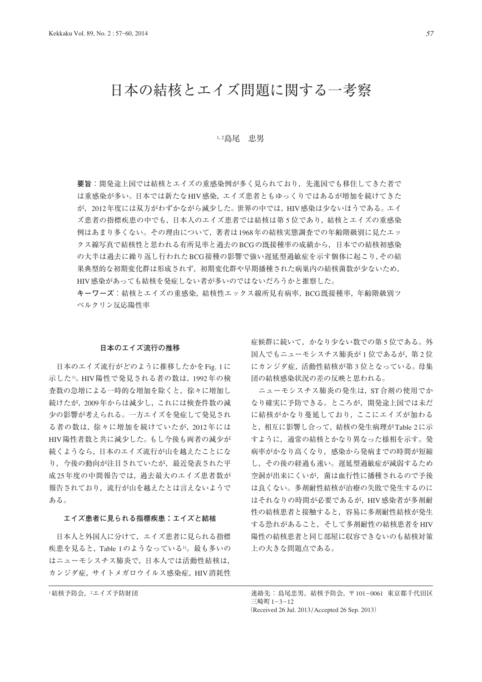# 日本の結核とエイズ問題に関する一考察

### 1, 2島尾 忠男

**要旨**:開発途上国では結核とエイズの重感染例が多く見られており,先進国でも移住してきた者で は重感染が多い。日本では新たなHIV感染,エイズ患者ともゆっくりではあるが増加を続けてきた が,2012年度には双方がわずかながら減少した。世界の中では,HIV感染は少ないほうである。エイ ズ患者の指標疾患の中でも,日本人のエイズ患者では結核は第 5 位であり,結核とエイズの重感染 例はあまり多くない。その理由について,著者は1968年の結核実態調査での年齢階級別に見たエッ クス線写真で結核性と思われる有所見率と過去のBCGの既接種率の成績から,日本での結核初感染 の大半は過去に繰り返し行われたBCG接種の影響で強い遅延型過敏症を示す個体に起こり,その結 果典型的な初期変化群は形成されず,初期変化群や早期播種された病巣内の結核菌数が少ないため, HIV感染があっても結核を発症しない者が多いのではないだろうかと推察した。

**キーワーズ**:結核とエイズの重感染,結核性エックス線所見有病率,BCG既接種率,年齢階級別ツ ベルクリン反応陽性率

#### **日本のエイズ流行の推移**

 日本のエイズ流行がどのように推移したかをFig. 1に 示した1)。HIV陽性で発見される者の数は,1992年の検 査数の急増による一時的な増加を除くと,徐々に増加し 続けたが,2009年からは減少し,これには検査件数の減 少の影響が考えられる。一方エイズを発症して発見され る者の数は,徐々に増加を続けていたが,2012年には HIV陽性者数と共に減少した。もし今後も両者の減少が 続くようなら,日本のエイズ流行が山を越えたことにな り,今後の動向が注目されていたが,最近発表された平 成25年度の中間報告では、過去最大のエイズ患者数が 報告されており,流行が山を越えたとは言えないようで ある。

## **エイズ患者に見られる指標疾患:エイズと結核**

 日本人と外国人に分けて,エイズ患者に見られる指標 疾患を見ると, Table 1のようなっている<sup>1)</sup>。最も多いの はニューモシスチス肺炎で,日本人では活動性結核は, カンジダ症,サイトメガロウイルス感染症,HIV消耗性

症候群に続いて,かなり少ない数での第 5 位である。外 国人でもニューモシスチス肺炎が1位であるが、第2位 にカンジダ症,活動性結核が第 3 位となっている。母集 団の結核感染状況の差の反映と思われる。

ニューモシスチス肺炎の発生は, ST合剤の使用でか なり確実に予防できる。ところが,開発途上国では未だ に結核がかなり蔓延しており,ここにエイズが加わる と,相互に影響し合って,結核の発生病理がTable 2に示 すように,通常の結核とかなり異なった様相を示す。発 病率がかなり高くなり,感染から発病までの時間が短縮 し,その後の経過も速い。遅延型過敏症が減弱するため 空洞が出来にくいが,菌は血行性に播種されるので予後 は良くない。多剤耐性結核が治療の失敗で発生するのに はそれなりの時間が必要であるが,HIV感染者が多剤耐 性の結核患者と接触すると,容易に多剤耐性結核が発生 する恐れがあること,そして多剤耐性の結核患者をHIV 陽性の結核患者と同じ部屋に収容できないのも結核対策 上の大きな問題点である。

1結核予防会, 2エイズ予防財団 キング インスコン エンジェン 連絡先: 島尾忠男, 結核予防会, 〒101-0061 東京都千代田区 三崎町 1-3-12 (Received 26 Jul. 2013 / Accepted 26 Sep. 2013)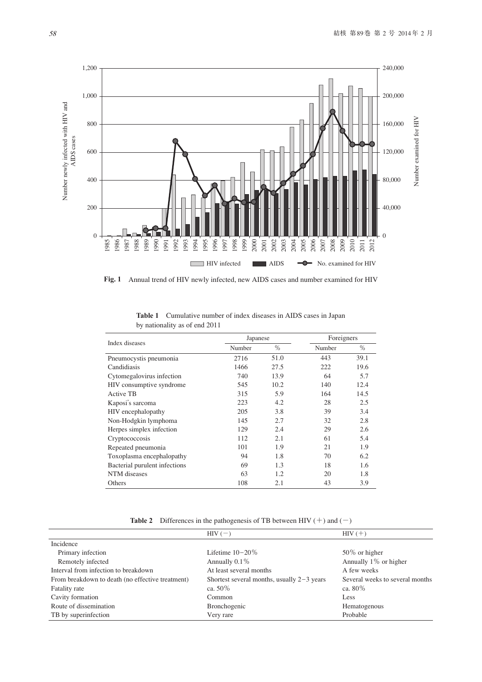

**Fig. 1** Annual trend of HIV newly infected, new AIDS cases and number examined for HIV

| Index diseases                | Japanese |      | Foreigners |      |
|-------------------------------|----------|------|------------|------|
|                               | Number   | $\%$ | Number     | $\%$ |
| Pneumocystis pneumonia        | 2716     | 51.0 | 443        | 39.1 |
| Candidiasis                   | 1466     | 27.5 | 222        | 19.6 |
| Cytomegalovirus infection     | 740      | 13.9 | 64         | 5.7  |
| HIV consumptive syndrome      | 545      | 10.2 | 140        | 12.4 |
| Active TB                     | 315      | 5.9  | 164        | 14.5 |
| Kaposi's sarcoma              | 223      | 4.2  | 28         | 2.5  |
| HIV encephalopathy            | 205      | 3.8  | 39         | 3.4  |
| Non-Hodgkin lymphoma          | 145      | 2.7  | 32         | 2.8  |
| Herpes simplex infection      | 129      | 2.4  | 29         | 2.6  |
| Cryptococcosis                | 112      | 2.1  | 61         | 5.4  |
| Repeated pneumonia            | 101      | 1.9  | 21         | 1.9  |
| Toxoplasma encephalopathy     | 94       | 1.8  | 70         | 6.2  |
| Bacterial purulent infections | 69       | 1.3  | 18         | 1.6  |
| NTM diseases                  | 63       | 1.2  | 20         | 1.8  |
| Others                        | 108      | 2.1  | 43         | 3.9  |

**Table 1** Cumulative number of index diseases in AIDS cases in Japan by nationality as of end 2011

**Table 2** Differences in the pathogenesis of TB between HIV  $(+)$  and  $(-)$ 

|                                                  | $HIV(-)$                                     | $HIV (+)$                       |
|--------------------------------------------------|----------------------------------------------|---------------------------------|
| Incidence                                        |                                              |                                 |
| Primary infection                                | Lifetime $10-20\%$                           | $50\%$ or higher                |
| Remotely infected                                | Annually $0.1\%$                             | Annually 1% or higher           |
| Interval from infection to breakdown             | At least several months                      | A few weeks                     |
| From breakdown to death (no effective treatment) | Shortest several months, usually $2-3$ years | Several weeks to several months |
| Fatality rate                                    | ca. $50\%$                                   | ca. $80\%$                      |
| Cavity formation                                 | Common                                       | Less                            |
| Route of dissemination                           | Bronchogenic                                 | Hematogenous                    |
| TB by superinfection                             | Very rare                                    | Probable                        |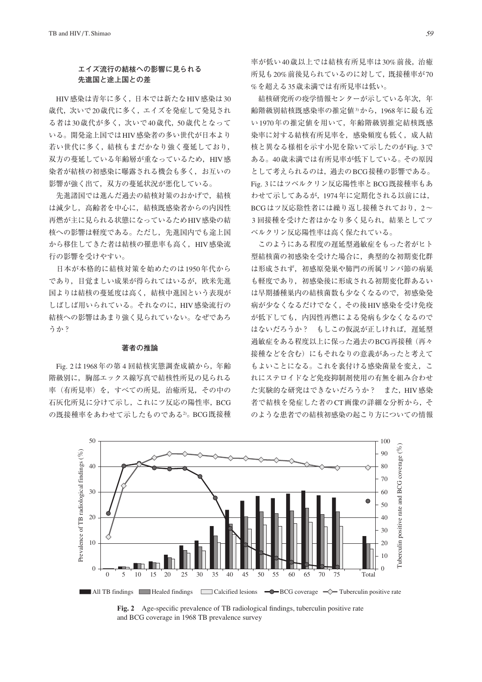# **エイズ流行の結核への影響に見られる** 先進国と途上国との差

HIV感染は青年に多く、日本では新たなHIV感染は30 歳代,次いで20歳代に多く,エイズを発症して発見され る者は30歳代が多く,次いで40歳代,50歳代となって いる。開発途上国ではHIV感染者の多い世代が日本より 若い世代に多く,結核もまだかなり強く蔓延しており, 双方の蔓延している年齢層が重なっているため, HIV感 染者が結核の初感染に曝露される機会も多く,お互いの 影響が強く出て,双方の蔓延状況が悪化している。

 先進諸国では進んだ過去の結核対策のおかげで,結核 は減少し,高齢者を中心に,結核既感染者からの内因性 再燃が主に見られる状態になっているためHIV感染の結 核への影響は軽度である。ただし,先進国内でも途上国 から移住してきた者は結核の罹患率も高く, HIV感染流 行の影響を受けやすい。

 日本が本格的に結核対策を始めたのは1950年代から であり,目覚ましい成果が得られてはいるが,欧米先進 国よりは結核の蔓延度は高く,結核中進国という表現が しばしば用いられている。それなのに,HIV感染流行の 結核への影響はあまり強く見られていない。なぜであろ うか?

#### **著者の推論**

Fig. 2は1968年の第 4 回結核実態調査成績から,年齢 階級別に,胸部エックス線写真で結核性所見の見られる 率(有所見率)を,すべての所見,治癒所見,その中の 石灰化所見に分けて示し,これにツ反応の陽性率,BCG の既接種率をあわせて示したものである2)。BCG既接種 率が低い40歳以上では結核有所見率は30%前後,治癒 所見も20%前後見られているのに対して,既接種率が70 %を超える35歳未満では有所見率は低い。

 結核研究所の疫学情報センターが示している年次,年 齢階級別結核既感染率の推定値3)から,1968年に最も近 い1970年の推定値を用いて,年齢階級別推定結核既感 染率に対する結核有所見率を,感染頻度も低く,成人結 核と異なる様相を示す小児を除いて示したのがFig. 3で ある。40歳未満では有所見率が低下している。その原因 として考えられるのは,過去のBCG接種の影響である。 Fig. 3にはツベルクリン反応陽性率とBCG既接種率もあ わせて示してあるが,1974年に定期化される以前には, BCGはツ反応陰性者には繰り返し接種されており、2~ 3回接種を受けた者はかなり多く見られ、結果としてツ ベルクリン反応陽性率は高く保たれている。

 このようにある程度の遅延型過敏症をもった者がヒト 型結核菌の初感染を受けた場合に,典型的な初期変化群 は形成されず、初感原発巣や肺門の所属リンパ節の病巣 も軽度であり、初感染後に形成される初期変化群あるい は早期播種巣内の結核菌数も少なくなるので,初感染発 病が少なくなるだけでなく,その後HIV感染を受け免疫 が低下しても,内因性再燃による発病も少なくなるので はないだろうか? もしこの仮説が正しければ、遅延型 過敏症をある程度以上に保った過去のBCG再接種(再々 接種などを含む)にもそれなりの意義があったと考えて もよいことになる。これを裏付ける感染菌量を変え、こ れにステロイドなど免疫抑制剤使用の有無を組み合わせ た実験的な研究はできないだろうか? また,HIV感染 者で結核を発症した者のCT画像の詳細な分析から,そ のような患者での結核初感染の起こり方についての情報